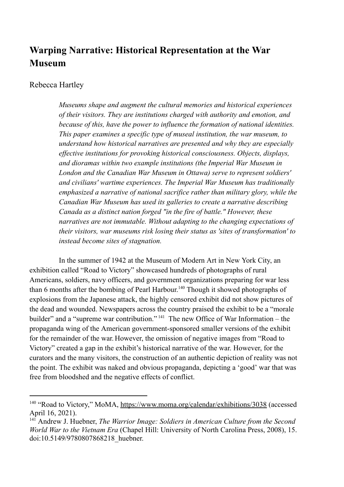# **Warping Narrative: Historical Representation at the War Museum**

## Rebecca Hartley

*Museums shape and augment the cultural memories and historical experiences of their visitors. They are institutions charged with authority and emotion, and because of this, have the power to influence the formation of national identities. This paper examines a specific type of museal institution, the war museum, to understand how historical narratives are presented and why they are especially effective institutions for provoking historical consciousness. Objects, displays, and dioramas within two example institutions (the Imperial War Museum in London and the Canadian War Museum in Ottawa) serve to represent soldiers' and civilians' wartime experiences. The Imperial War Museum has traditionally emphasized a narrative of national sacrifice rather than military glory, while the Canadian War Museum has used its galleries to create a narrative describing Canada as a distinct nation forged "in the fire of battle." However, these narratives are not immutable. Without adapting to the changing expectations of their visitors, war museums risk losing their status as 'sites of transformation' to instead become sites of stagnation.*

In the summer of 1942 at the Museum of Modern Art in New York City, an exhibition called "Road to Victory" showcased hundreds of photographs of rural Americans, soldiers, navy officers, and government organizations preparing for war less than 6 months after the bombing of Pearl Harbour.<sup>140</sup> Though it showed photographs of explosions from the Japanese attack, the highly censored exhibit did not show pictures of the dead and wounded. Newspapers across the country praised the exhibit to be a "morale builder" and a "supreme war contribution." <sup>141</sup> The new Office of War Information – the propaganda wing of the American government-sponsored smaller versions of the exhibit for the remainder of the war. However, the omission of negative images from "Road to Victory" created a gap in the exhibit's historical narrative of the war. However, for the curators and the many visitors, the construction of an authentic depiction of reality was not the point. The exhibit was naked and obvious propaganda, depicting a 'good' war that was free from bloodshed and the negative effects of conflict.

<sup>&</sup>lt;sup>140</sup> "Road to Victory," MoMA, https://www.moma.org/calendar/exhibitions/3038 (accessed April 16, 2021).

<sup>141</sup> Andrew J. Huebner, *The Warrior Image: Soldiers in American Culture from the Second World War to the Vietnam Era* (Chapel Hill: University of North Carolina Press, 2008), 15. doi:10.5149/9780807868218\_huebner.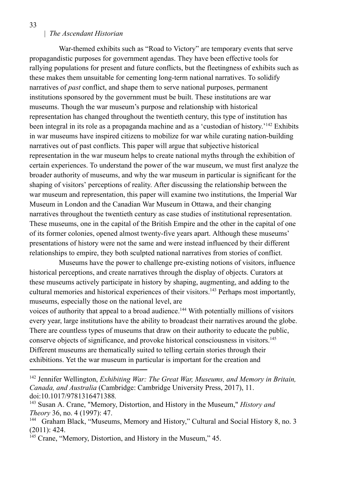War-themed exhibits such as "Road to Victory" are temporary events that serve propagandistic purposes for government agendas. They have been effective tools for rallying populations for present and future conflicts, but the fleetingness of exhibits such as these makes them unsuitable for cementing long-term national narratives. To solidify narratives of *past* conflict, and shape them to serve national purposes, permanent institutions sponsored by the government must be built. These institutions are war museums. Though the war museum's purpose and relationship with historical representation has changed throughout the twentieth century, this type of institution has been integral in its role as a propaganda machine and as a 'custodian of history.<sup> $142$ </sup> Exhibits in war museums have inspired citizens to mobilize for war while curating nation-building narratives out of past conflicts. This paper will argue that subjective historical representation in the war museum helps to create national myths through the exhibition of certain experiences. To understand the power of the war museum, we must first analyze the broader authority of museums, and why the war museum in particular is significant for the shaping of visitors' perceptions of reality. After discussing the relationship between the war museum and representation, this paper will examine two institutions, the Imperial War Museum in London and the Canadian War Museum in Ottawa, and their changing narratives throughout the twentieth century as case studies of institutional representation. These museums, one in the capital of the British Empire and the other in the capital of one of its former colonies, opened almost twenty-five years apart. Although these museums' presentations of history were not the same and were instead influenced by their different relationships to empire, they both sculpted national narratives from stories of conflict.

Museums have the power to challenge pre-existing notions of visitors, influence historical perceptions, and create narratives through the display of objects. Curators at these museums actively participate in history by shaping, augmenting, and adding to the cultural memories and historical experiences of their visitors.<sup>143</sup> Perhaps most importantly, museums, especially those on the national level, are

voices of authority that appeal to a broad audience.<sup>144</sup> With potentially millions of visitors every year, large institutions have the ability to broadcast their narratives around the globe. There are countless types of museums that draw on their authority to educate the public, conserve objects of significance, and provoke historical consciousness in visitors.<sup>145</sup> Different museums are thematically suited to telling certain stories through their exhibitions. Yet the war museum in particular is important for the creation and

<sup>142</sup> Jennifer Wellington, *Exhibiting War: The Great War, Museums, and Memory in Britain, Canada, and Australia* (Cambridge: Cambridge University Press, 2017), 11. doi:10.1017/9781316471388*.*

<sup>143</sup> Susan A. Crane, "Memory, Distortion, and History in the Museum," *History and Theory* 36, no. 4 (1997): 47.

<sup>&</sup>lt;sup>144</sup> Graham Black, "Museums, Memory and History," Cultural and Social History 8, no. 3 (2011): 424.

<sup>&</sup>lt;sup>145</sup> Crane, "Memory, Distortion, and History in the Museum," 45.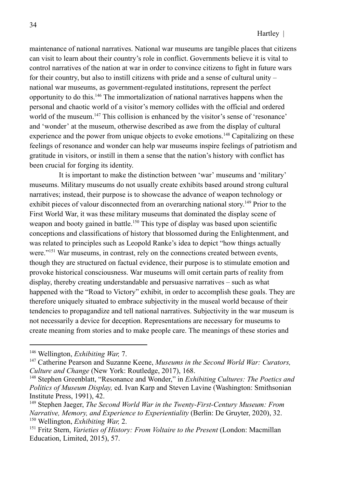maintenance of national narratives. National war museums are tangible places that citizens can visit to learn about their country's role in conflict. Governments believe it is vital to control narratives of the nation at war in order to convince citizens to fight in future wars for their country, but also to instill citizens with pride and a sense of cultural unity – national war museums, as government-regulated institutions, represent the perfect opportunity to do this.<sup>146</sup> The immortalization of national narratives happens when the personal and chaotic world of a visitor's memory collides with the official and ordered world of the museum.<sup>147</sup> This collision is enhanced by the visitor's sense of 'resonance' and 'wonder' at the museum, otherwise described as awe from the display of cultural experience and the power from unique objects to evoke emotions.<sup>148</sup> Capitalizing on these feelings of resonance and wonder can help war museums inspire feelings of patriotism and gratitude in visitors, or instill in them a sense that the nation's history with conflict has been crucial for forging its identity.

It is important to make the distinction between 'war' museums and 'military' museums. Military museums do not usually create exhibits based around strong cultural narratives; instead, their purpose is to showcase the advance of weapon technology or exhibit pieces of valour disconnected from an overarching national story.<sup>149</sup> Prior to the First World War, it was these military museums that dominated the display scene of weapon and booty gained in battle.<sup>150</sup> This type of display was based upon scientific conceptions and classifications of history that blossomed during the Enlightenment, and was related to principles such as Leopold Ranke's idea to depict "how things actually were."<sup>151</sup> War museums, in contrast, rely on the connections created between events, though they are structured on factual evidence, their purpose is to stimulate emotion and provoke historical consciousness. War museums will omit certain parts of reality from display, thereby creating understandable and persuasive narratives – such as what happened with the "Road to Victory" exhibit, in order to accomplish these goals. They are therefore uniquely situated to embrace subjectivity in the museal world because of their tendencies to propagandize and tell national narratives. Subjectivity in the war museum is not necessarily a device for deception. Representations are necessary for museums to create meaning from stories and to make people care. The meanings of these stories and

<sup>146</sup> Wellington, *Exhibiting War,* 7.

<sup>147</sup> Catherine Pearson and Suzanne Keene, *Museums in the Second World War: Curators, Culture and Change* (New York: Routledge, 2017), 168.

<sup>148</sup> Stephen Greenblatt, "Resonance and Wonder," in *Exhibiting Cultures: The Poetics and Politics of Museum Display,* ed. Ivan Karp and Steven Lavine (Washington: Smithsonian Institute Press, 1991), 42.

<sup>150</sup> Wellington, *Exhibiting War,* 2. <sup>149</sup> Stephen Jaeger, *The Second World War in the Twenty-First-Century Museum: From Narrative, Memory, and Experience to Experientiality* (Berlin: De Gruyter, 2020), 32.

<sup>151</sup> Fritz Stern, *Varieties of History: From Voltaire to the Present* (London: Macmillan Education, Limited, 2015), 57.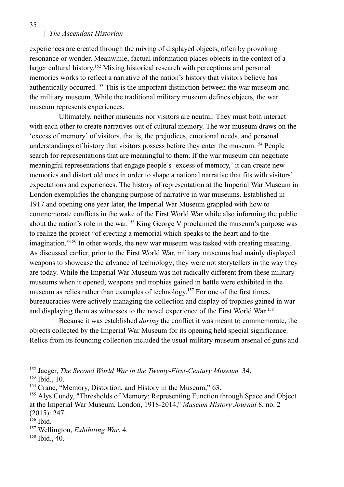experiences are created through the mixing of displayed objects, often by provoking resonance or wonder. Meanwhile, factual information places objects in the context of a larger cultural history.<sup>152</sup> Mixing historical research with perceptions and personal memories works to reflect a narrative of the nation's history that visitors believe has authentically occurred.<sup>153</sup> This is the important distinction between the war museum and the military museum. While the traditional military museum defines objects, the war museum represents experiences.

Ultimately, neither museums nor visitors are neutral. They must both interact with each other to create narratives out of cultural memory. The war museum draws on the 'excess of memory' of visitors, that is, the prejudices, emotional needs, and personal understandings of history that visitors possess before they enter the museum.<sup>154</sup> People search for representations that are meaningful to them. If the war museum can negotiate meaningful representations that engage people's 'excess of memory,' it can create new memories and distort old ones in order to shape a national narrative that fits with visitors' expectations and experiences. The history of representation at the Imperial War Museum in London exemplifies the changing purpose of narrative in war museums. Established in 1917 and opening one year later, the Imperial War Museum grappled with how to commemorate conflicts in the wake of the First World War while also informing the public about the nation's role in the war. <sup>155</sup> King George V proclaimed the museum's purpose was to realize the project "of erecting a memorial which speaks to the heart and to the imagination."<sup>156</sup> In other words, the new war museum was tasked with creating meaning. As discussed earlier, prior to the First World War, military museums had mainly displayed weapons to showcase the advance of technology; they were not storytellers in the way they are today. While the Imperial War Museum was not radically different from these military museums when it opened, weapons and trophies gained in battle were exhibited in the museum as relics rather than examples of technology.<sup>157</sup> For one of the first times, bureaucracies were actively managing the collection and display of trophies gained in war and displaying them as witnesses to the novel experience of the First World War. 158

Because it was established *during* the conflict it was meant to commemorate, the objects collected by the Imperial War Museum for its opening held special significance. Relics from its founding collection included the usual military museum arsenal of guns and

<sup>152</sup> Jaeger, *The Second World War in the Twenty-First-Century Museum,* 34.

<sup>153</sup> Ibid., 10.

<sup>&</sup>lt;sup>154</sup> Crane, "Memory, Distortion, and History in the Museum," 63.

<sup>&</sup>lt;sup>155</sup> Alys Cundy, "Thresholds of Memory: Representing Function through Space and Object at the Imperial War Museum, London, 1918-2014," *Museum History Journal* 8, no. 2 (2015): 247.

<sup>156</sup> Ibid.

<sup>157</sup> Wellington, *Exhibiting War*, 4.

<sup>158</sup> Ibid., 40.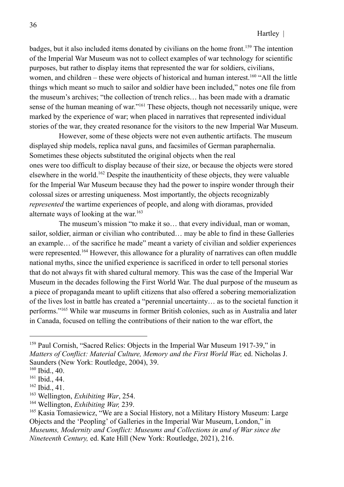badges, but it also included items donated by civilians on the home front.<sup>159</sup> The intention of the Imperial War Museum was not to collect examples of war technology for scientific purposes, but rather to display items that represented the war for soldiers, civilians, women, and children – these were objects of historical and human interest.<sup>160</sup> "All the little things which meant so much to sailor and soldier have been included," notes one file from the museum's archives; "the collection of trench relics… has been made with a dramatic sense of the human meaning of war."<sup>161</sup> These objects, though not necessarily unique, were marked by the experience of war; when placed in narratives that represented individual stories of the war, they created resonance for the visitors to the new Imperial War Museum.

However, some of these objects were not even authentic artifacts. The museum displayed ship models, replica naval guns, and facsimiles of German paraphernalia. Sometimes these objects substituted the original objects when the real ones were too difficult to display because of their size, or because the objects were stored elsewhere in the world.<sup>162</sup> Despite the inauthenticity of these objects, they were valuable for the Imperial War Museum because they had the power to inspire wonder through their colossal sizes or arresting uniqueness. Most importantly, the objects recognizably *represented* the wartime experiences of people, and along with dioramas, provided alternate ways of looking at the war. 163

The museum's mission "to make it so… that every individual, man or woman, sailor, soldier, airman or civilian who contributed… may be able to find in these Galleries an example… of the sacrifice he made" meant a variety of civilian and soldier experiences were represented.<sup>164</sup> However, this allowance for a plurality of narratives can often muddle national myths, since the unified experience is sacrificed in order to tell personal stories that do not always fit with shared cultural memory. This was the case of the Imperial War Museum in the decades following the First World War. The dual purpose of the museum as a piece of propaganda meant to uplift citizens that also offered a sobering memorialization of the lives lost in battle has created a "perennial uncertainty… as to the societal function it performs."<sup>165</sup> While war museums in former British colonies, such as in Australia and later in Canada, focused on telling the contributions of their nation to the war effort, the

<sup>&</sup>lt;sup>159</sup> Paul Cornish, "Sacred Relics: Objects in the Imperial War Museum 1917-39," in *Matters of Conflict: Material Culture, Memory and the First World War,* ed. Nicholas J. Saunders (New York: Routledge, 2004), 39.

<sup>160</sup> Ibid., 40.

<sup>161</sup> Ibid., 44.

<sup>162</sup> Ibid., 41.

<sup>163</sup> Wellington, *Exhibiting War*, 254.

<sup>164</sup> Wellington, *Exhibiting War,* 239.

<sup>165</sup> Kasia Tomasiewicz, "We are a Social History, not a Military History Museum: Large Objects and the 'Peopling' of Galleries in the Imperial War Museum, London," in *Museums, Modernity and Conflict: Museums and Collections in and of War since the Nineteenth Century,* ed. Kate Hill (New York: Routledge, 2021), 216.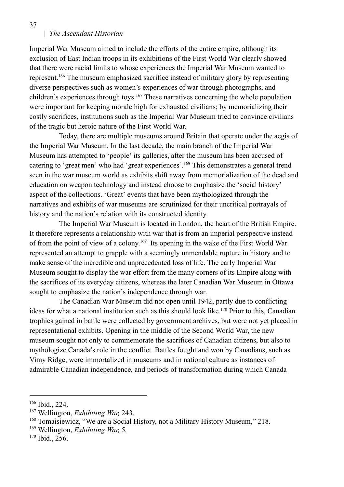Imperial War Museum aimed to include the efforts of the entire empire, although its exclusion of East Indian troops in its exhibitions of the First World War clearly showed that there were racial limits to whose experiences the Imperial War Museum wanted to represent.<sup>166</sup> The museum emphasized sacrifice instead of military glory by representing diverse perspectives such as women's experiences of war through photographs, and children's experiences through toys.<sup>167</sup> These narratives concerning the whole population were important for keeping morale high for exhausted civilians; by memorializing their costly sacrifices, institutions such as the Imperial War Museum tried to convince civilians of the tragic but heroic nature of the First World War.

Today, there are multiple museums around Britain that operate under the aegis of the Imperial War Museum. In the last decade, the main branch of the Imperial War Museum has attempted to 'people' its galleries, after the museum has been accused of catering to 'great men' who had 'great experiences'.<sup>168</sup> This demonstrates a general trend seen in the war museum world as exhibits shift away from memorialization of the dead and education on weapon technology and instead choose to emphasize the 'social history' aspect of the collections. 'Great' events that have been mythologized through the narratives and exhibits of war museums are scrutinized for their uncritical portrayals of history and the nation's relation with its constructed identity.

The Imperial War Museum is located in London, the heart of the British Empire. It therefore represents a relationship with war that is from an imperial perspective instead of from the point of view of a colony. 169 Its opening in the wake of the First World War represented an attempt to grapple with a seemingly unmendable rupture in history and to make sense of the incredible and unprecedented loss of life. The early Imperial War Museum sought to display the war effort from the many corners of its Empire along with the sacrifices of its everyday citizens, whereas the later Canadian War Museum in Ottawa sought to emphasize the nation's independence through war.

The Canadian War Museum did not open until 1942, partly due to conflicting ideas for what a national institution such as this should look like.<sup>170</sup> Prior to this, Canadian trophies gained in battle were collected by government archives, but were not yet placed in representational exhibits. Opening in the middle of the Second World War, the new museum sought not only to commemorate the sacrifices of Canadian citizens, but also to mythologize Canada's role in the conflict. Battles fought and won by Canadians, such as Vimy Ridge, were immortalized in museums and in national culture as instances of admirable Canadian independence, and periods of transformation during which Canada

37

<sup>166</sup> Ibid., 224.

<sup>167</sup> Wellington, *Exhibiting War,* 243.

<sup>&</sup>lt;sup>168</sup> Tomaisiewicz, "We are a Social History, not a Military History Museum," 218.

<sup>169</sup> Wellington, *Exhibiting War,* 5*.*

<sup>170</sup> Ibid., 256.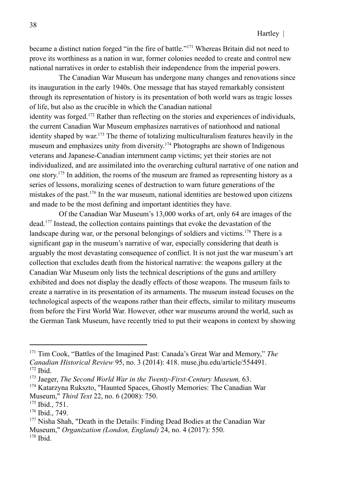became a distinct nation forged "in the fire of battle."<sup>171</sup> Whereas Britain did not need to prove its worthiness as a nation in war, former colonies needed to create and control new national narratives in order to establish their independence from the imperial powers.

The Canadian War Museum has undergone many changes and renovations since its inauguration in the early 1940s. One message that has stayed remarkably consistent through its representation of history is its presentation of both world wars as tragic losses of life, but also as the crucible in which the Canadian national identity was forged.<sup>172</sup> Rather than reflecting on the stories and experiences of individuals, the current Canadian War Museum emphasizes narratives of nationhood and national identity shaped by war. <sup>173</sup> The theme of totalizing multiculturalism features heavily in the museum and emphasizes unity from diversity.<sup>174</sup> Photographs are shown of Indigenous veterans and Japanese-Canadian internment camp victims; yet their stories are not individualized, and are assimilated into the overarching cultural narrative of one nation and one story. 175 In addition, the rooms of the museum are framed as representing history as a series of lessons, moralizing scenes of destruction to warn future generations of the mistakes of the past.<sup>176</sup> In the war museum, national identities are bestowed upon citizens and made to be the most defining and important identities they have.

Of the Canadian War Museum's 13,000 works of art, only 64 are images of the dead.<sup>177</sup> Instead, the collection contains paintings that evoke the devastation of the landscape during war, or the personal belongings of soldiers and victims.<sup>178</sup> There is a significant gap in the museum's narrative of war, especially considering that death is arguably the most devastating consequence of conflict. It is not just the war museum's art collection that excludes death from the historical narrative: the weapons gallery at the Canadian War Museum only lists the technical descriptions of the guns and artillery exhibited and does not display the deadly effects of those weapons. The museum fails to create a narrative in its presentation of its armaments. The museum instead focuses on the technological aspects of the weapons rather than their effects, similar to military museums from before the First World War. However, other war museums around the world, such as the German Tank Museum, have recently tried to put their weapons in context by showing

<sup>171</sup> Tim Cook, "Battles of the Imagined Past: Canada's Great War and Memory," *The Canadian Historical Review* 95, no. 3 (2014): 418. muse.jhu.edu/article/554491.

<sup>172</sup> Ibid.

<sup>173</sup> Jaeger, *The Second World War in the Twenty-First-Century Museum,* 63.

<sup>174</sup> Katarzyna Rukszto, "Haunted Spaces, Ghostly Memories: The Canadian War Museum," *Third Text* 22, no. 6 (2008): 750.

<sup>175</sup> Ibid., 751.

<sup>176</sup> Ibid., 749.

<sup>178</sup> Ibid. <sup>177</sup> Nisha Shah, "Death in the Details: Finding Dead Bodies at the Canadian War Museum," *Organization (London, England)* 24, no. 4 (2017): 550.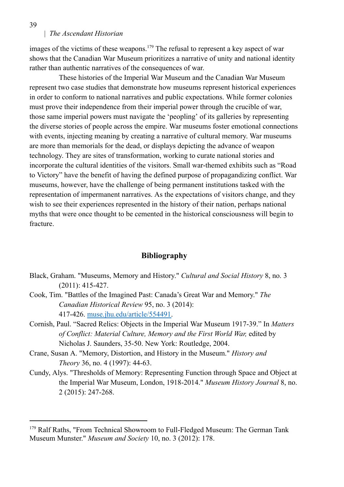images of the victims of these weapons.<sup>179</sup> The refusal to represent a key aspect of war shows that the Canadian War Museum prioritizes a narrative of unity and national identity rather than authentic narratives of the consequences of war.

These histories of the Imperial War Museum and the Canadian War Museum represent two case studies that demonstrate how museums represent historical experiences in order to conform to national narratives and public expectations. While former colonies must prove their independence from their imperial power through the crucible of war, those same imperial powers must navigate the 'peopling' of its galleries by representing the diverse stories of people across the empire. War museums foster emotional connections with events, injecting meaning by creating a narrative of cultural memory. War museums are more than memorials for the dead, or displays depicting the advance of weapon technology. They are sites of transformation, working to curate national stories and incorporate the cultural identities of the visitors. Small war-themed exhibits such as "Road to Victory" have the benefit of having the defined purpose of propagandizing conflict. War museums, however, have the challenge of being permanent institutions tasked with the representation of impermanent narratives. As the expectations of visitors change, and they wish to see their experiences represented in the history of their nation, perhaps national myths that were once thought to be cemented in the historical consciousness will begin to fracture.

#### **Bibliography**

- Black, Graham. "Museums, Memory and History." *Cultural and Social History* 8, no. 3 (2011): 415-427.
- Cook, Tim. "Battles of the Imagined Past: Canada's Great War and Memory." *The Canadian Historical Review* 95, no. 3 (2014): 417-426. muse.jhu.edu/article/554491.
- Cornish, Paul. "Sacred Relics: Objects in the Imperial War Museum 1917-39." In *Matters of Conflict: Material Culture, Memory and the First World War,* edited by Nicholas J. Saunders, 35-50. New York: Routledge, 2004.
- Crane, Susan A. "Memory, Distortion, and History in the Museum." *History and Theory* 36, no. 4 (1997): 44-63.
- Cundy, Alys. "Thresholds of Memory: Representing Function through Space and Object at the Imperial War Museum, London, 1918-2014." *Museum History Journal* 8, no. 2 (2015): 247-268.

<sup>&</sup>lt;sup>179</sup> Ralf Raths, "From Technical Showroom to Full-Fledged Museum: The German Tank Museum Munster." *Museum and Society* 10, no. 3 (2012): 178.